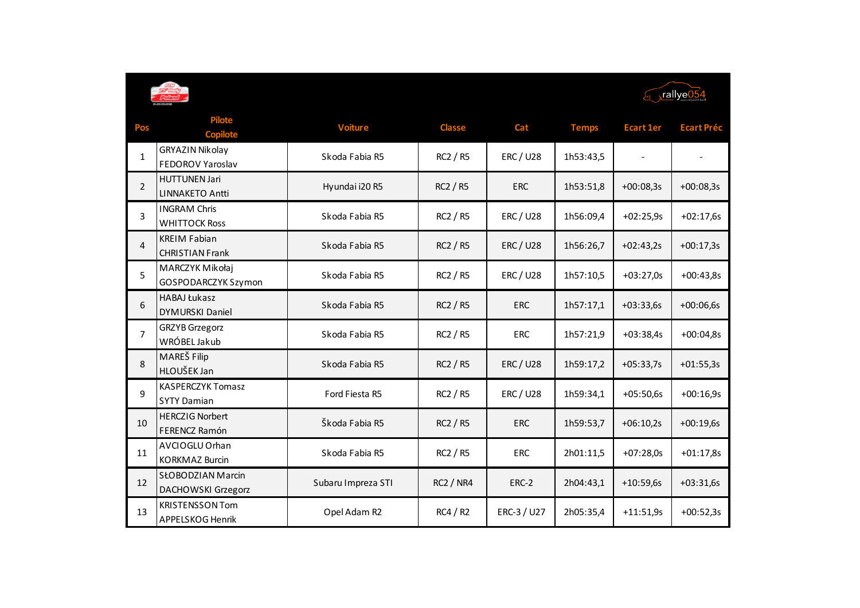



| Pos            | <b>Pilote</b><br><b>Copilote</b>               | <b>Voiture</b>     | <b>Classe</b>    | Cat            | <b>Temps</b> | <b>Ecart 1er</b> | <b>Ecart Préc</b> |
|----------------|------------------------------------------------|--------------------|------------------|----------------|--------------|------------------|-------------------|
| $\mathbf{1}$   | GRYAZIN Nikolay<br>FEDOROV Yaroslav            | Skoda Fabia R5     | RC2 / R5         | <b>ERC/U28</b> | 1h53:43,5    |                  |                   |
| $\overline{2}$ | <b>HUTTUNEN Jari</b><br><b>LINNAKETO Antti</b> | Hyundai i20 R5     | RC2 / R5         | <b>ERC</b>     | 1h53:51,8    | $+00:08,3s$      | $+00:08,3s$       |
| 3              | <b>INGRAM Chris</b><br><b>WHITTOCK Ross</b>    | Skoda Fabia R5     | RC2 / R5         | <b>ERC/U28</b> | 1h56:09,4    | $+02:25,9s$      | $+02:17,6s$       |
| $\overline{4}$ | <b>KREIM Fabian</b><br><b>CHRISTIAN Frank</b>  | Skoda Fabia R5     | RC2 / R5         | <b>ERC/U28</b> | 1h56:26,7    | $+02:43,2s$      | $+00:17,3s$       |
| 5              | MARCZYK Mikołaj<br>GOSPODARCZYK Szymon         | Skoda Fabia R5     | RC2 / R5         | <b>ERC/U28</b> | 1h57:10,5    | $+03:27,0s$      | $+00:43,8s$       |
| 6              | <b>HABAJ Łukasz</b><br><b>DYMURSKI Daniel</b>  | Skoda Fabia R5     | <b>RC2 / R5</b>  | <b>ERC</b>     | 1h57:17,1    | $+03:33,6s$      | $+00:06,6s$       |
| $\overline{7}$ | <b>GRZYB</b> Grzegorz<br>WRÓBEL Jakub          | Skoda Fabia R5     | RC2 / R5         | <b>ERC</b>     | 1h57:21,9    | $+03:38,4s$      | $+00:04,8s$       |
| 8              | MAREŠ Filip<br>HLOUŠEK Jan                     | Skoda Fabia R5     | <b>RC2 / R5</b>  | <b>ERC/U28</b> | 1h59:17,2    | $+05:33,7s$      | $+01:55,3s$       |
| 9              | <b>KASPERCZYK Tomasz</b><br><b>SYTY Damian</b> | Ford Fiesta R5     | RC2 / R5         | <b>ERC/U28</b> | 1h59:34,1    | $+05:50,6s$      | $+00:16,9s$       |
| 10             | <b>HERCZIG Norbert</b><br>FERENCZ Ramón        | Škoda Fabia R5     | <b>RC2 / R5</b>  | <b>ERC</b>     | 1h59:53,7    | $+06:10,2s$      | $+00:19,6s$       |
| 11             | AVCIOGLU Orhan<br><b>KORKMAZ Burcin</b>        | Skoda Fabia R5     | RC2 / R5         | <b>ERC</b>     | 2h01:11,5    | $+07:28,0s$      | $+01:17,8s$       |
| 12             | <b>SŁOBODZIAN Marcin</b><br>DACHOWSKI Grzegorz | Subaru Impreza STI | <b>RC2 / NR4</b> | ERC-2          | 2h04:43,1    | $+10:59,6s$      | $+03:31,6s$       |
| 13             | <b>KRISTENSSON Tom</b><br>APPELSKOG Henrik     | Opel Adam R2       | RC4/R2           | ERC-3 / U27    | 2h05:35,4    | $+11:51,9s$      | $+00:52,3s$       |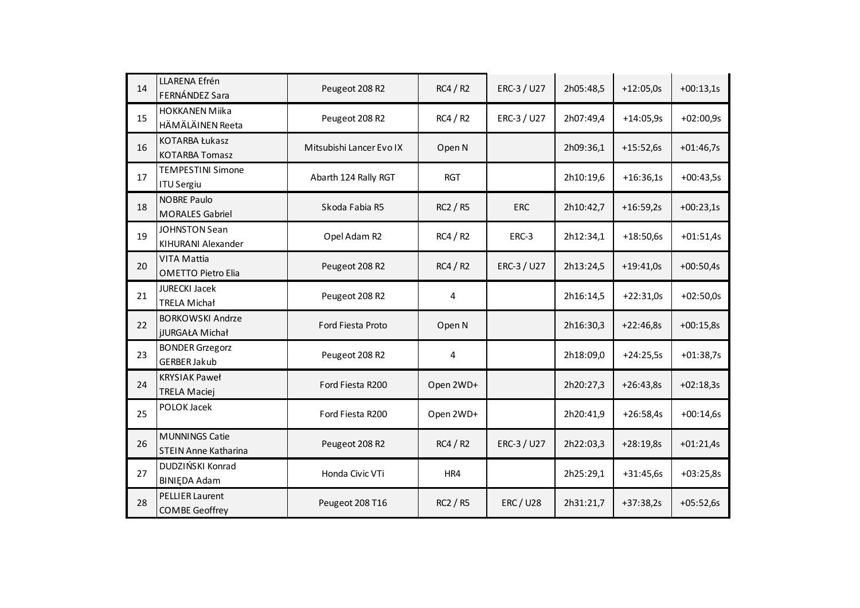| 14 | LLARENA Efrén<br>FERNÁNDEZ Sara                      | Peugeot 208 R2           | RC4/R2          | ERC-3 / U27    | 2h05:48,5 | $+12:05,0s$ | $+00:13,1s$ |
|----|------------------------------------------------------|--------------------------|-----------------|----------------|-----------|-------------|-------------|
| 15 | <b>HOKKANEN Miika</b><br>HÄMÄLÄINEN Reeta            | Peugeot 208 R2           | RC4/R2          | ERC-3 / U27    | 2h07:49,4 | $+14:05,9s$ | $+02:00,9s$ |
| 16 | <b>KOTARBA Łukasz</b><br><b>KOTARBA Tomasz</b>       | Mitsubishi Lancer Evo IX | Open N          |                | 2h09:36,1 | $+15:52,6s$ | $+01:46,7s$ |
| 17 | <b>TEMPESTINI Simone</b><br><b>ITU Sergiu</b>        | Abarth 124 Rally RGT     | <b>RGT</b>      |                | 2h10:19,6 | $+16:36,1s$ | $+00:43,5s$ |
| 18 | <b>NOBRE Paulo</b><br><b>MORALES Gabriel</b>         | Skoda Fabia R5           | <b>RC2 / R5</b> | <b>ERC</b>     | 2h10:42,7 | $+16:59,2s$ | $+00:23,1s$ |
| 19 | JOHNSTON Sean<br>KIHURANI Alexander                  | Opel Adam R2             | RC4/R2          | ERC-3          | 2h12:34,1 | $+18:50,6s$ | $+01:51,4s$ |
| 20 | <b>VITA Mattia</b><br><b>OMETTO Pietro Elia</b>      | Peugeot 208 R2           | RC4/R2          | ERC-3 / U27    | 2h13:24,5 | $+19:41,0s$ | $+00:50,4s$ |
| 21 | <b>JURECKI Jacek</b><br><b>TRELA Michał</b>          | Peugeot 208 R2           | 4               |                | 2h16:14,5 | $+22:31,0s$ | $+02:50,0s$ |
| 22 | <b>BORKOWSKI Andrze</b><br><b>jJURGAŁA Michał</b>    | Ford Fiesta Proto        | Open N          |                | 2h16:30,3 | $+22:46,8s$ | $+00:15,8s$ |
| 23 | <b>BONDER Grzegorz</b><br><b>GERBER Jakub</b>        | Peugeot 208 R2           | 4               |                | 2h18:09,0 | $+24:25,5s$ | $+01:38,7s$ |
| 24 | <b>KRYSIAK Paweł</b><br><b>TRELA Maciej</b>          | Ford Fiesta R200         | Open 2WD+       |                | 2h20:27,3 | $+26:43,8s$ | $+02:18,3s$ |
| 25 | POLOK Jacek                                          | Ford Fiesta R200         | Open 2WD+       |                | 2h20:41,9 | $+26:58,4s$ | $+00:14,6s$ |
| 26 | <b>MUNNINGS Catie</b><br><b>STEIN Anne Katharina</b> | Peugeot 208 R2           | RC4/R2          | ERC-3 / U27    | 2h22:03,3 | $+28:19,8s$ | $+01:21,4s$ |
| 27 | DUDZIŃSKI Konrad<br><b>BINIEDA Adam</b>              | Honda Civic VTi          | HR4             |                | 2h25:29,1 | $+31:45,6s$ | $+03:25,8s$ |
| 28 | <b>PELLIER Laurent</b><br><b>COMBE Geoffrey</b>      | Peugeot 208 T16          | <b>RC2 / R5</b> | <b>ERC/U28</b> | 2h31:21,7 | $+37:38,2s$ | $+05:52,6s$ |